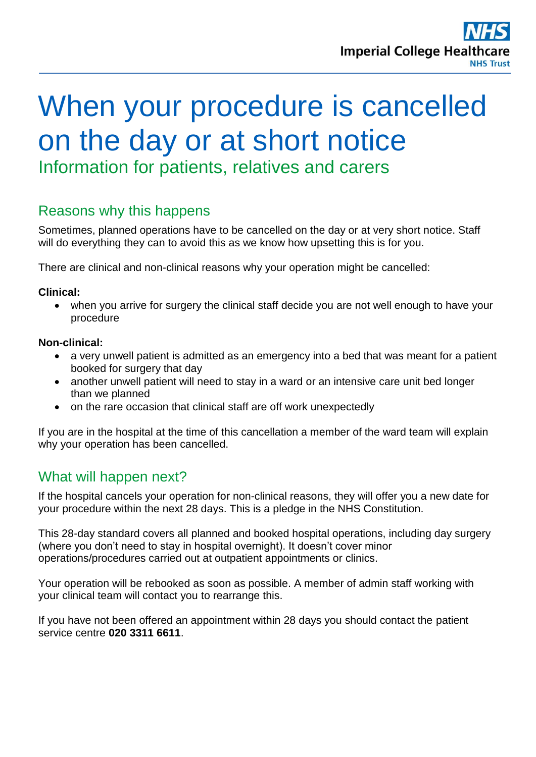# When your procedure is cancelled on the day or at short notice Information for patients, relatives and carers

# Reasons why this happens

Sometimes, planned operations have to be cancelled on the day or at very short notice. Staff will do everything they can to avoid this as we know how upsetting this is for you.

There are clinical and non-clinical reasons why your operation might be cancelled:

#### **Clinical:**

 when you arrive for surgery the clinical staff decide you are not well enough to have your procedure

#### **Non-clinical:**

- a very unwell patient is admitted as an emergency into a bed that was meant for a patient booked for surgery that day
- another unwell patient will need to stay in a ward or an intensive care unit bed longer than we planned
- on the rare occasion that clinical staff are off work unexpectedly

If you are in the hospital at the time of this cancellation a member of the ward team will explain why your operation has been cancelled.

# What will happen next?

If the hospital cancels your operation for non-clinical reasons, they will offer you a new date for your procedure within the next 28 days. This is a pledge in the NHS Constitution.

This 28-day standard covers all planned and booked hospital operations, including day surgery (where you don't need to stay in hospital overnight). It doesn't cover minor operations/procedures carried out at outpatient appointments or clinics.

Your operation will be rebooked as soon as possible. A member of admin staff working with your clinical team will contact you to rearrange this.

If you have not been offered an appointment within 28 days you should contact the patient service centre **020 3311 6611**.